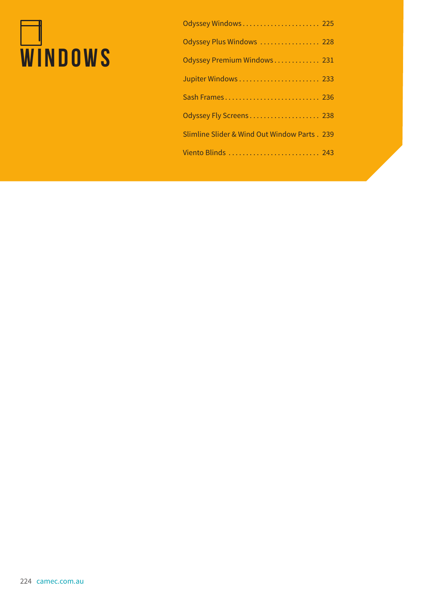# **WINDOWS**

| Odyssey Windows 225                          |
|----------------------------------------------|
| Odyssey Plus Windows  228                    |
| Odyssey Premium Windows 231                  |
|                                              |
| Sash Frames 236                              |
| Odyssey Fly Screens 238                      |
| Slimline Slider & Wind Out Window Parts. 239 |
| Viento Blinds  243                           |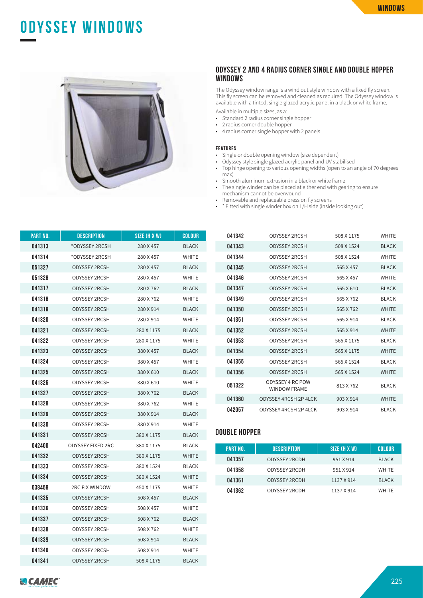## **ODYSSEY WINDOWS**



#### **ODYSSEY 2 AND 4 RADIUS CORNER SINGLE AND DOUBLE HOPPER WINDOWS**

The Odyssey window range is a wind out style window with a fixed fly screen. This fly screen can be removed and cleaned as required. The Odyssey window is available with a tinted, single glazed acrylic panel in a black or white frame.

Available in multiple sizes, as a:

- Standard 2 radius corner single hopper
- 2 radius corner double hopper
- 4 radius corner single hopper with 2 panels

#### **FEATURES**

- Single or double opening window (size dependent)
- Odyssey style single glazed acrylic panel and UV stabilised
- Top hinge opening to various opening widths (open to an angle of 70 degrees max)
- Smooth aluminum extrusion in a black or white frame<br>• The single winder can be placed at either and with gear
- The single winder can be placed at either end with gearing to ensure mechanism cannot be overwound
- Removable and replaceable press on fly screens
- \* Fitted with single winder box on L/H side (inside looking out)

| PART NO. | <b>DESCRIPTION</b>       | SIZE (H X W) | COLOUR       |
|----------|--------------------------|--------------|--------------|
| 041313   | *ODYSSEY 2RCSH           | 280 X 457    | <b>BLACK</b> |
| 041314   | *ODYSSEY 2RCSH           | 280 X 457    | WHITE        |
| 051327   | <b>ODYSSEY 2RCSH</b>     | 280 X 457    | <b>BLACK</b> |
| 051328   | ODYSSEY 2RCSH            | 280 X 457    | <b>WHITE</b> |
| 041317   | <b>ODYSSEY 2RCSH</b>     | 280 X 762    | <b>BLACK</b> |
| 041318   | ODYSSEY 2RCSH            | 280 X 762    | <b>WHITE</b> |
| 041319   | <b>ODYSSEY 2RCSH</b>     | 280 X 914    | <b>BLACK</b> |
| 041320   | ODYSSEY 2RCSH            | 280 X 914    | <b>WHITE</b> |
| 041321   | <b>ODYSSEY 2RCSH</b>     | 280 X 1175   | <b>BLACK</b> |
| 041322   | ODYSSEY 2RCSH            | 280 X 1175   | <b>WHITE</b> |
| 041323   | <b>ODYSSEY 2RCSH</b>     | 380 X 457    | <b>BLACK</b> |
| 041324   | <b>ODYSSEY 2RCSH</b>     | 380 X 457    | <b>WHITE</b> |
| 041325   | ODYSSEY 2RCSH            | 380 X 610    | <b>BLACK</b> |
| 041326   | ODYSSEY 2RCSH            | 380 X 610    | WHITE        |
| 041327   | <b>ODYSSEY 2RCSH</b>     | 380 X 762    | <b>BLACK</b> |
| 041328   | ODYSSEY 2RCSH            | 380 X 762    | <b>WHITE</b> |
| 041329   | <b>ODYSSEY 2RCSH</b>     | 380 X 914    | <b>BLACK</b> |
| 041330   | ODYSSEY 2RCSH            | 380 X 914    | <b>WHITE</b> |
| 041331   | <b>ODYSSEY 2RCSH</b>     | 380 X 1175   | <b>BLACK</b> |
| 042400   | <b>ODYSSEY FIXED 2RC</b> | 380 X 1175   | <b>BLACK</b> |
| 041332   | <b>ODYSSEY 2RCSH</b>     | 380 X 1175   | <b>WHITE</b> |
| 041333   | ODYSSEY 2RCSH            | 380 X 1524   | <b>BLACK</b> |
| 041334   | <b>ODYSSEY 2RCSH</b>     | 380 X 1524   | <b>WHITE</b> |
| 038458   | <b>2RC FIX WINDOW</b>    | 450 X 1175   | <b>WHITE</b> |
| 041335   | <b>ODYSSEY 2RCSH</b>     | 508 X 457    | <b>BLACK</b> |
| 041336   | <b>ODYSSEY 2RCSH</b>     | 508 X 457    | WHITE        |
| 041337   | <b>ODYSSEY 2RCSH</b>     | 508 X 762    | <b>BLACK</b> |
| 041338   | ODYSSEY 2RCSH            | 508 X 762    | <b>WHITE</b> |
| 041339   | <b>ODYSSEY 2RCSH</b>     | 508 X 914    | <b>BLACK</b> |
| 041340   | ODYSSEY 2RCSH            | 508 X 914    | <b>WHITE</b> |
| 041341   | ODYSSEY 2RCSH            | 508 X 1175   | BLACK        |

| 041342 | ODYSSEY 2RCSH                           | 508 X 1175 | <b>WHITE</b> |
|--------|-----------------------------------------|------------|--------------|
| 041343 | <b>ODYSSEY 2RCSH</b>                    | 508 X 1524 | <b>BLACK</b> |
| 041344 | ODYSSEY 2RCSH                           | 508 X 1524 | <b>WHITE</b> |
| 041345 | <b>ODYSSEY 2RCSH</b>                    | 565 X 457  | <b>BLACK</b> |
| 041346 | ODYSSEY 2RCSH                           | 565 X 457  | <b>WHITE</b> |
| 041347 | <b>ODYSSEY 2RCSH</b>                    | 565 X 610  | <b>BLACK</b> |
| 041349 | ODYSSEY 2RCSH                           | 565 X 762  | <b>BLACK</b> |
| 041350 | <b>ODYSSEY 2RCSH</b>                    | 565 X 762  | <b>WHITE</b> |
| 041351 | ODYSSEY 2RCSH                           | 565 X 914  | <b>BLACK</b> |
| 041352 | <b>ODYSSEY 2RCSH</b>                    | 565 X 914  | <b>WHITE</b> |
| 041353 | ODYSSEY 2RCSH                           | 565 X 1175 | <b>BLACK</b> |
| 041354 | <b>ODYSSEY 2RCSH</b>                    | 565 X 1175 | <b>WHITE</b> |
| 041355 | ODYSSEY 2RCSH                           | 565 X 1524 | <b>BLACK</b> |
| 041356 | <b>ODYSSEY 2RCSH</b>                    | 565 X 1524 | <b>WHITE</b> |
| 051322 | ODYSSEY 4 RC POW<br><b>WINDOW FRAME</b> | 813 X 762  | <b>BLACK</b> |
| 041360 | ODYSSEY 4RCSH 2P 4LCK                   | 903 X 914  | <b>WHITE</b> |
| 042057 | ODYSSEY 4RCSH 2P 4LCK                   | 903 X 914  | <b>BLACK</b> |

#### **DOUBLE HOPPER**

| PART NO. | <b>DESCRIPTION</b>   | SIZE (H X W) | <b>COLOUR</b> |
|----------|----------------------|--------------|---------------|
| 041357   | ODYSSEY 2RCDH        | 951 X 914    | <b>BLACK</b>  |
| 041358   | ODYSSEY 2RCDH        | 951 X 914    | <b>WHITE</b>  |
| 041361   | <b>ODYSSEY 2RCDH</b> | 1137 X 914   | <b>BLACK</b>  |
| 041362   | ODYSSEY 2RCDH        | 1137 X 914   | <b>WHITE</b>  |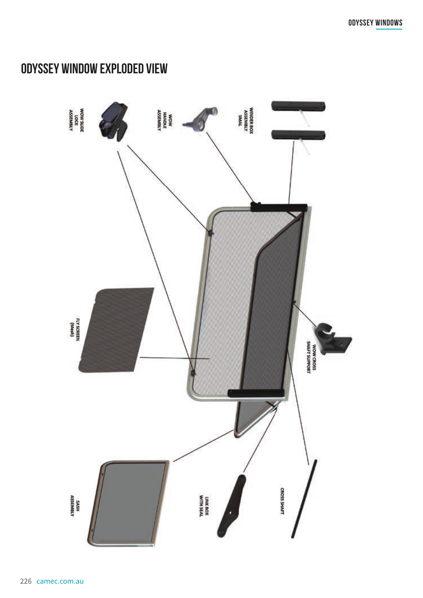## **ODYSSEY WINDOW EXPLODED VIEW**

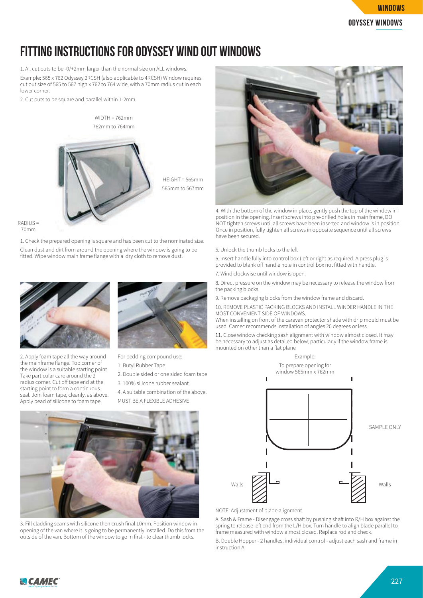

## **FITTING INSTRUCTIONS FOR ODYSSEY WIND OUT WINDOWS**

1. All cut outs to be -0/+2mm larger than the normal size on ALL windows.

Example: 565 x 762 Odyssey 2RCSH (also applicable to 4RCSH) Window requires cut out size of 565 to 567 high x 762 to 764 wide, with a 70mm radius cut in each lower corner.

2. Cut outs to be square and parallel within 1-2mm.



RADIUS =

70mm

1. Check the prepared opening is square and has been cut to the nominated size. Clean dust and dirt from around the opening where the window is going to be fitted. Wipe window main frame flange with a dry cloth to remove dust.



2. Apply foam tape all the way around the mainframe flange. Top corner of the window is a suitable starting point. Take particular care around the 2 radius corner. Cut off tape end at the starting point to form a continuous seal. Join foam tape, cleanly, as above. Apply bead of silicone to foam tape.



For bedding compound use:

- 1. Butyl Rubber Tape
- 2. Double sided or one sided foam tape 3. 100% silicone rubber sealant.
- 4. A suitable combination of the above.
- MUST BE A FLEXIBLE ADHESIVE



3. Fill cladding seams with silicone then crush final 10mm. Position window in opening of the van where it is going to be permanently installed. Do this from the outside of the van. Bottom of the window to go in first - to clear thumb locks.



4. With the bottom of the window in place, gently push the top of the window in position in the opening. Insert screws into pre-drilled holes in main frame, DO NOT tighten screws until all screws have been inserted and window is in position. Once in position, fully tighten all screws in opposite sequence until all screws have been secured.

5. Unlock the thumb locks to the le

6. Insert handle fully into control box (left or right as required. A press plug is provided to blank off handle hole in control box not fitted with handle.

7. Wind clockwise until window is open.

8. Direct pressure on the window may be necessary to release the window from the packing blocks.

9. Remove packaging blocks from the window frame and discard.

10. REMOVE PLASTIC PACKING BLOCKS AND INSTALL WINDER HANDLE IN THE MOST CONVENIENT SIDE OF WINDOWS.

When installing on front of the caravan protector shade with drip mould must be used. Camec recommends installation of angles 20 degrees or less.

11. Close window checking sash alignment with window almost closed. It may be necessary to adjust as detailed below, particularly if the window frame is mounted on other than a flat plane



NOTE: Adjustment of blade alignment

A. Sash & Frame - Disengage cross shaft by pushing shaft into R/H box against the spring to release left end from the L/H box. Turn handle to align blade parallel to frame measured with window almost closed. Replace rod and check.

B. Double Hopper - 2 handles, individual control - adjust each sash and frame in instruction A.

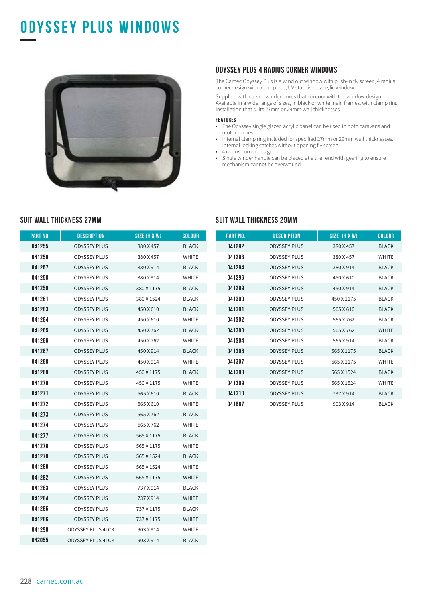## **ODYSSEY PLUS WINDOWS**



#### **ODYSSEY PLUS 4 RADIUS CORNER WINDOWS**

The Camec Odyssey Plus is a wind out window with push-in fly screen, 4 radius corner design with a one piece, UV stabilised, acrylic window.

Supplied with curved winder boxes that contour with the window design. Available in a wide range of sizes, in black or white main frames, with clamp ring installation that suits 27mm or 29mm wall thicknesses.

#### **FEATURES**

- The Odyssey single glazed acrylic panel can be used in both caravans and motor homes
- Internal clamp ring included for specified 27mm or 29mm wall thicknesses. Internal locking catches without opening fly screen
- 4 radius corner design
- Single winder handle can be placed at either end with gearing to ensure mechanism cannot be overwound

| PART NO. | <b>DESCRIPTION</b>       | SIZE (H X W) | COLOUR       |
|----------|--------------------------|--------------|--------------|
| 041255   | <b>ODYSSEY PLUS</b>      | 380 X 457    | <b>BLACK</b> |
| 041256   | <b>ODYSSEY PLUS</b>      | 380 X 457    | <b>WHITE</b> |
| 041257   | <b>ODYSSEY PLUS</b>      | 380 X 914    | <b>BLACK</b> |
| 041258   | <b>ODYSSEY PLUS</b>      | 380 X 914    | <b>WHITE</b> |
| 041259   | <b>ODYSSEY PLUS</b>      | 380 X 1175   | <b>BLACK</b> |
| 041261   | <b>ODYSSEY PLUS</b>      | 380 X 1524   | <b>BLACK</b> |
| 041263   | <b>ODYSSEY PLUS</b>      | 450 X 610    | <b>BLACK</b> |
| 041264   | <b>ODYSSEY PLUS</b>      | 450 X 610    | WHITE        |
| 041265   | <b>ODYSSEY PLUS</b>      | 450 X 762    | <b>BLACK</b> |
| 041266   | <b>ODYSSEY PLUS</b>      | 450 X 762    | <b>WHITE</b> |
| 041267   | <b>ODYSSEY PLUS</b>      | 450 X 914    | <b>BLACK</b> |
| 041268   | <b>ODYSSEY PLUS</b>      | 450 X 914    | <b>WHITE</b> |
| 041269   | <b>ODYSSEY PLUS</b>      | 450 X 1175   | <b>BLACK</b> |
| 041270   | <b>ODYSSEY PLUS</b>      | 450 X 1175   | <b>WHITE</b> |
| 041271   | <b>ODYSSEY PLUS</b>      | 565 X 610    | <b>BLACK</b> |
| 041272   | <b>ODYSSEY PLUS</b>      | 565 X 610    | WHITE        |
| 041273   | <b>ODYSSEY PLUS</b>      | 565 X 762    | <b>BLACK</b> |
| 041274   | <b>ODYSSEY PLUS</b>      | 565 X 762    | <b>WHITE</b> |
| 041277   | <b>ODYSSEY PLUS</b>      | 565 X 1175   | <b>BLACK</b> |
| 041278   | <b>ODYSSEY PLUS</b>      | 565 X 1175   | <b>WHITE</b> |
| 041279   | <b>ODYSSEY PLUS</b>      | 565 X 1524   | <b>BLACK</b> |
| 041280   | <b>ODYSSEY PLUS</b>      | 565 X 1524   | WHITE        |
| 041282   | <b>ODYSSEY PLUS</b>      | 665 X 1175   | <b>WHITE</b> |
| 041283   | <b>ODYSSEY PLUS</b>      | 737 X 914    | <b>BLACK</b> |
| 041284   | <b>ODYSSEY PLUS</b>      | 737 X 914    | <b>WHITE</b> |
| 041285   | <b>ODYSSEY PLUS</b>      | 737 X 1175   | <b>BLACK</b> |
| 041286   | <b>ODYSSEY PLUS</b>      | 737 X 1175   | <b>WHITE</b> |
| 041290   | <b>ODYSSEY PLUS 4LCK</b> | 903 X 914    | <b>WHITE</b> |
| 042055   | <b>ODYSSEY PLUS 4LCK</b> | 903 X 914    | <b>BLACK</b> |

#### **SUIT WALL THICKNESS 27MM SUIT WALL THICKNESS 29MM**

| <b>PART NO.</b> | <b>DESCRIPTION</b>  | SIZE (H X W) | <b>COLOUR</b> |
|-----------------|---------------------|--------------|---------------|
| 041292          | <b>ODYSSEY PLUS</b> | 380 X 457    | <b>BLACK</b>  |
| 041293          | <b>ODYSSEY PLUS</b> | 380 X 457    | <b>WHITE</b>  |
| 041294          | <b>ODYSSEY PLUS</b> | 380 X 914    | <b>BLACK</b>  |
| 041296          | <b>ODYSSEY PLUS</b> | 450 X 610    | <b>BLACK</b>  |
| 041299          | <b>ODYSSEY PLUS</b> | 450 X 914    | <b>BLACK</b>  |
| 041300          | <b>ODYSSEY PLUS</b> | 450 X 1175   | <b>BLACK</b>  |
| 041301          | <b>ODYSSEY PLUS</b> | 565 X 610    | <b>BLACK</b>  |
| 041302          | <b>ODYSSEY PLUS</b> | 565 X 762    | <b>BI ACK</b> |
| 041303          | <b>ODYSSEY PLUS</b> | 565 X 762    | <b>WHITE</b>  |
| 041304          | <b>ODYSSEY PLUS</b> | 565 X 914    | <b>BLACK</b>  |
| 041306          | <b>ODYSSEY PLUS</b> | 565 X 1175   | <b>BLACK</b>  |
| 041307          | <b>ODYSSEY PLUS</b> | 565 X 1175   | <b>WHITE</b>  |
| 041308          | <b>ODYSSEY PLUS</b> | 565 X 1524   | <b>BLACK</b>  |
| 041309          | <b>ODYSSEY PLUS</b> | 565 X 1524   | <b>WHITE</b>  |
| 041310          | <b>ODYSSEY PLUS</b> | 737 X 914    | <b>BLACK</b>  |
| 041687          | <b>ODYSSEY PLUS</b> | 903 X 914    | <b>BLACK</b>  |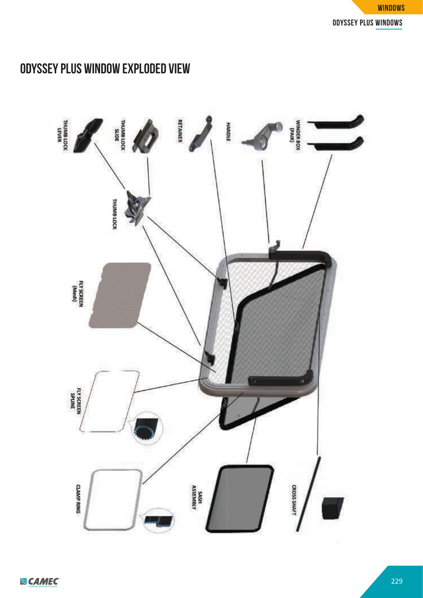

## **ODYSSEY PLUS WINDOW EXPLODED VIEW**

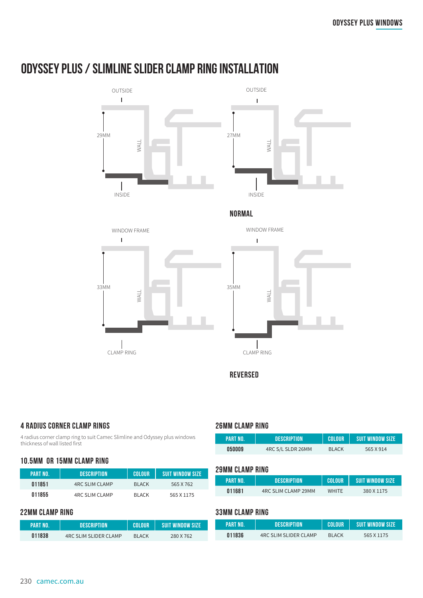## **ODYSSEY PLUS / SLIMLINE SLIDER CLAMP RING INSTALLATION**





**NORMAL**





**REVERSED**

#### **4 RADIUS CORNER CLAMP RINGS**

4 radius corner clamp ring to suit Camec Slimline and Odyssey plus windows thickness of wall listed first

#### **10.5MM OR 15MM CLAMP RING**

| PART NO. | DESCRIPTION .         | COLOUR        | I SUIT WINDOW SIZE' |
|----------|-----------------------|---------------|---------------------|
| 011851   | <b>4RC SLIM CLAMP</b> | <b>BIACK</b>  | 565 X 762           |
| 011855   | 4RC SLIM CLAMP        | <b>BI ACK</b> | 565 X 1175          |

#### **22MM CLAMP RING 33MM CLAMP RING**

| LPART NO. | <b>DESCRIPTION</b>           | COLOUR       | <b>SUIT WINDOW SIZE</b> |
|-----------|------------------------------|--------------|-------------------------|
| 011838    | <b>4RC SLIM SLIDER CLAMP</b> | <b>BLACK</b> | 280 X 762               |

#### **26MM CLAMP RING**

| PART NO. | <b>DESCRIPTION</b> | <b>COLOUR</b> | <b>SUIT WINDOW SIZE</b> |
|----------|--------------------|---------------|-------------------------|
| 050009   | 4RC S/L SLDR 26MM  | <b>BLACK</b>  | 565 X 914               |

#### **29MM CLAMP RING**

| PART NO. | <b>DESCRIPTION</b>  | <b>COLOUR</b> | SUIT WINDOW SIZE |
|----------|---------------------|---------------|------------------|
| 011681   | 4RC SLIM CLAMP 29MM | <b>WHITE</b>  | 380 X 1175       |

| PART NO. | <b>DESCRIPTION</b>           | <b>COLOUR</b> | <b>SUIT WINDOW SIZE</b> |
|----------|------------------------------|---------------|-------------------------|
| 011836   | <b>4RC SLIM SLIDER CLAMP</b> | <b>BIACK</b>  | 565 X 1175              |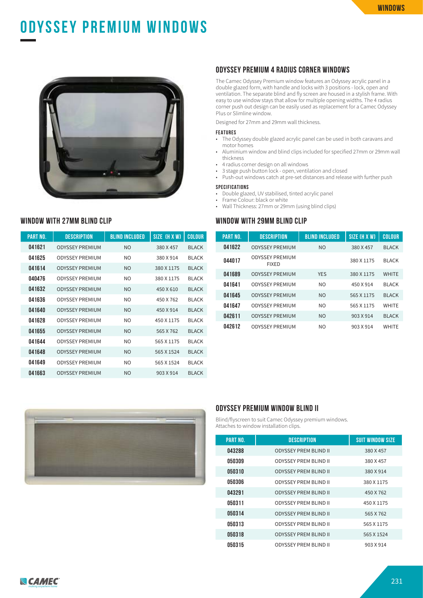# **ODYSSEY PREMIUM WINDOWS**



#### **WINDOW WITH 27MM BLIND CLIP**

| <b>PART NO.</b> | <b>DESCRIPTION</b>     | <b>BLIND INCLUDED</b> | SIZE (H X W) | <b>COLOUR</b> |
|-----------------|------------------------|-----------------------|--------------|---------------|
| 041621          | <b>ODYSSEY PREMIUM</b> | N <sub>O</sub>        | 380 X 457    | <b>BI ACK</b> |
| 041625          | <b>ODYSSEY PREMIUM</b> | NΩ                    | 380 X 914    | <b>BI ACK</b> |
| 041614          | <b>ODYSSEY PREMIUM</b> | N <sub>O</sub>        | 380 X 1175   | <b>BLACK</b>  |
| 040476          | <b>ODYSSEY PREMIUM</b> | NΩ                    | 380 X 1175   | <b>BI ACK</b> |
| 041632          | <b>ODYSSEY PREMIUM</b> | <b>NO</b>             | 450 X 610    | <b>BI ACK</b> |
| 041636          | <b>ODYSSEY PREMIUM</b> | NO.                   | 450 X 762    | <b>BI ACK</b> |
| 041640          | <b>ODYSSEY PREMIUM</b> | N <sub>O</sub>        | 450 X 914    | <b>BI ACK</b> |
| 041628          | <b>ODYSSEY PREMIUM</b> | N <sub>O</sub>        | 450 X 1175   | <b>BI ACK</b> |
| 041655          | <b>ODYSSEY PREMIUM</b> | N <sub>O</sub>        | 565 X 762    | <b>BI ACK</b> |
| 041644          | <b>ODYSSEY PREMIUM</b> | NO.                   | 565 X 1175   | <b>BI ACK</b> |
| 041648          | <b>ODYSSEY PREMIUM</b> | N <sub>O</sub>        | 565 X 1524   | <b>BI ACK</b> |
| 041649          | <b>ODYSSEY PREMIUM</b> | NO.                   | 565 X 1524   | <b>BI ACK</b> |
| 041663          | <b>ODYSSEY PREMIUM</b> | NO.                   | 903 X 914    | <b>BI ACK</b> |

#### **ODYSSEY PREMIUM 4 RADIUS CORNER WINDOWS**

The Camec Odyssey Premium window features an Odyssey acrylic panel in a double glazed form, with handle and locks with 3 positions - lock, open and ventilation. The separate blind and fly screen are housed in a stylish frame. With easy to use window stays that allow for multiple opening widths. The 4 radius corner push out design can be easily used as replacement for a Camec Odyssey Plus or Slimline window.

Designed for 27mm and 29mm wall thickness.

#### **FEATURES**

- The Odyssey double glazed acrylic panel can be used in both caravans and motor homes
- Aluminium window and blind clips included for specified 27mm or 29mm wall thickness
- 4 radius corner design on all windows
- 3 stage push button lock open, ventilation and closed
- Push-out windows catch at pre-set distances and release with further push

#### **SPECIFICATIONS**

- Double glazed, UV stabilised, tinted acrylic panel
- Frame Colour: black or white
- Wall Thickness: 27mm or 29mm (using blind clips)

#### **WINDOW WITH 29MM BLIND CLIP**

| <b>PART NO.</b> | <b>DESCRIPTION</b>                     | <b>BLIND INCLUDED</b> | SIZE (H X W) | <b>COLOUR</b> |
|-----------------|----------------------------------------|-----------------------|--------------|---------------|
| 041622          | <b>ODYSSEY PREMIUM</b>                 | N <sub>O</sub>        | 380 X 457    | <b>BLACK</b>  |
| 044017          | <b>ODYSSEY PREMIUM</b><br><b>FIXED</b> |                       | 380 X 1175   | <b>BLACK</b>  |
| 041689          | <b>ODYSSEY PREMIUM</b>                 | <b>YES</b>            | 380 X 1175   | <b>WHITF</b>  |
| 041641          | <b>ODYSSEY PREMIUM</b>                 | NO.                   | 450 X 914    | <b>BLACK</b>  |
| 041645          | <b>ODYSSEY PREMIUM</b>                 | N <sub>O</sub>        | 565 X 1175   | <b>BLACK</b>  |
| 041647          | <b>ODYSSEY PREMIUM</b>                 | NO.                   | 565 X 1175   | <b>WHITF</b>  |
| 042611          | <b>ODYSSEY PREMIUM</b>                 | N <sub>O</sub>        | 903 X 914    | <b>BI ACK</b> |
| 042612          | <b>ODYSSEY PREMIUM</b>                 | NO.                   | 903 X 914    | <b>WHITF</b>  |



#### **ODYSSEY PREMIUM WINDOW BLIND II**

Blind/flyscreen to suit Camec Odyssey premium windows. Attaches to window installation clips.

| <b>PART NO.</b> | <b>DESCRIPTION</b>           | <b>SUIT WINDOW SIZE</b> |
|-----------------|------------------------------|-------------------------|
| 043288          | <b>ODYSSEY PREM BLIND II</b> | 380 X 457               |
| 050309          | <b>ODYSSEY PREM BLIND II</b> | 380 X 457               |
| 050310          | <b>ODYSSEY PREM BLIND II</b> | 380 X 914               |
| 050306          | <b>ODYSSEY PREM BLIND II</b> | 380 X 1175              |
| 043291          | <b>ODYSSEY PREM BLIND II</b> | 450 X 762               |
| 050311          | <b>ODYSSEY PREM BLIND II</b> | 450 X 1175              |
| 050314          | <b>ODYSSEY PREM BLIND II</b> | 565 X 762               |
| 050313          | <b>ODYSSEY PREM BLIND II</b> | 565 X 1175              |
| 050318          | <b>ODYSSEY PREM BLIND II</b> | 565 X 1524              |
| 050315          | ODYSSEY PREM BLIND II        | 903 X 914               |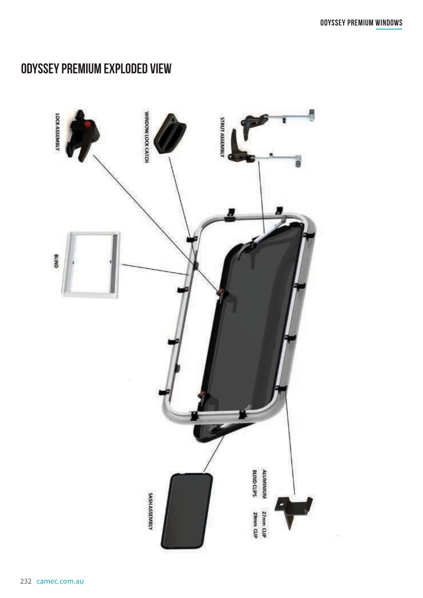## **ODYSSEY PREMIUM EXPLODED VIEW**

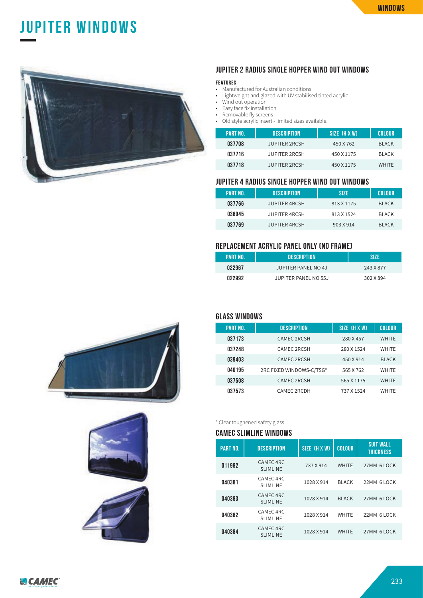## **odyssey premium windows jupiter WINDOWS**



#### **JUPITER 2 RADIUS SINGLE HOPPER WIND OUT WINDOWS**

#### **FEATURES**

- Manufactured for Australian conditions
- Lightweight and glazed with UV stabilised tinted acrylic
- Wind out operation
- Easy face fix installation
- Removable fly screens
- Old style acrylic insert limited sizes available.

| <b>PART NO.</b> | <b>DESCRIPTION</b>   | SIZE (H X W) | <b>COLOUR</b> |
|-----------------|----------------------|--------------|---------------|
| 037708          | <b>JUPITER 2RCSH</b> | 450 X 762    | <b>BLACK</b>  |
| 037716          | <b>JUPITER 2RCSH</b> | 450 X 1175   | <b>BLACK</b>  |
| 037718          | <b>JUPITER 2RCSH</b> | 450 X 1175   | <b>WHITE</b>  |

#### **JUPITER 4 RADIUS SINGLE HOPPER WIND OUT WINDOWS**

| <b>PART NO.</b> | <b>DESCRIPTION</b>   | <b>SIZE</b> | COLOUR       |
|-----------------|----------------------|-------------|--------------|
| 037766          | <b>JUPITER 4RCSH</b> | 813 X 1175  | <b>BLACK</b> |
| 038945          | <b>JUPITER 4RCSH</b> | 813 X 1524  | <b>BLACK</b> |
| 037769          | <b>JUPITER 4RCSH</b> | 903 X 914   | <b>BLACK</b> |

#### **REPLACEMENT ACRYLIC PANEL ONLY (NO FRAME)**

| PART NO. | <b>DESCRIPTION</b>   | SI7F      |
|----------|----------------------|-----------|
| 022967   | JUPITER PANEL NO 4J  | 243 X 877 |
| 022992   | JUPITER PANEL NO 55J | 302 X 894 |







#### **GLASS WINDOWS**

| <b>PART NO.</b> | <b>DESCRIPTION</b>       | SIZE (H X W) | <b>COLOUR</b> |
|-----------------|--------------------------|--------------|---------------|
| 037173          | <b>CAMEC 2RCSH</b>       | 280 X 457    | <b>WHITE</b>  |
| 037248          | <b>CAMEC 2RCSH</b>       | 280 X 1524   | <b>WHITE</b>  |
| 039403          | <b>CAMEC 2RCSH</b>       | 450 X 914    | <b>BLACK</b>  |
| 040195          | 2RC FIXED WINDOWS-C/TSG* | 565 X 762    | <b>WHITE</b>  |
| 037508          | <b>CAMEC 2RCSH</b>       | 565 X 1175   | <b>WHITE</b>  |
| 037573          | CAMEC 2RCDH              | 737 X 1524   | <b>WHITE</b>  |

\* Clear toughened safety glass

#### **CAMEC SLIMLINE WINDOWS**

| <b>PART NO.</b> | <b>DESCRIPTION</b>                      | SIZE (H X W) | <b>COLOUR</b> | <b>SUIT WALL</b><br>THICKNESS |
|-----------------|-----------------------------------------|--------------|---------------|-------------------------------|
| 011982          | CAMEC <sub>4RC</sub><br><b>SLIMLINE</b> | 737 X 914    | <b>WHITE</b>  | 27MM 6 LOCK                   |
| 040381          | CAMEC 4RC<br><b>SLIMLINE</b>            | 1028 X 914   | <b>BLACK</b>  | 22MM 6 LOCK                   |
| 040383          | CAMEC <sub>4RC</sub><br><b>SLIMLINE</b> | 1028 X 914   | <b>BLACK</b>  | 27MM 6 LOCK                   |
| 040382          | CAMEC 4RC<br><b>SLIMLINE</b>            | 1028 X 914   | <b>WHITE</b>  | 22MM 6 LOCK                   |
| 040384          | <b>CAMEC 4RC</b><br><b>SLIMLINE</b>     | 1028 X 914   | <b>WHITE</b>  | 27MM 6 LOCK                   |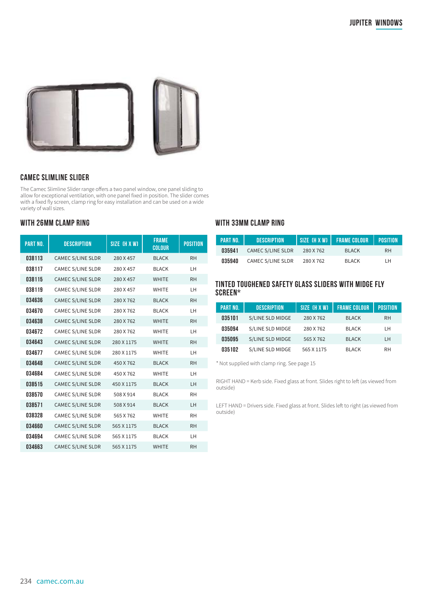

#### **CAMEC SLIMLINE SLIDER**

The Camec Slimline Slider range offers a two panel window, one panel sliding to allow for exceptional ventilation, with one panel fixed in position. The slider comes with a fixed fly screen, clamp ring for easy installation and can be used on a wide variety of wall sizes.

#### **WITH 26MM CLAMP RING**

| <b>PART NO.</b> | <b>DESCRIPTION</b>       | SIZE (H X W) | <b>FRAME</b><br><b>COLOUR</b> | <b>POSITION</b> |
|-----------------|--------------------------|--------------|-------------------------------|-----------------|
| 038113          | <b>CAMEC S/LINE SLDR</b> | 280 X 457    | <b>BLACK</b>                  | <b>RH</b>       |
| 038117          | <b>CAMEC S/LINE SLDR</b> | 280 X 457    | <b>BLACK</b>                  | LH              |
| 038115          | <b>CAMEC S/LINE SLDR</b> | 280 X 457    | <b>WHITE</b>                  | <b>RH</b>       |
| 038119          | <b>CAMEC S/LINE SLDR</b> | 280 X 457    | <b>WHITE</b>                  | LH              |
| 034636          | <b>CAMEC S/LINE SLDR</b> | 280 X 762    | <b>BLACK</b>                  | <b>RH</b>       |
| 034670          | <b>CAMEC S/LINE SLDR</b> | 280 X 762    | <b>BLACK</b>                  | LH              |
| 034638          | <b>CAMEC S/LINE SLDR</b> | 280 X 762    | <b>WHITE</b>                  | <b>RH</b>       |
| 034672          | <b>CAMEC S/LINE SLDR</b> | 280 X 762    | <b>WHITE</b>                  | LH.             |
| 034643          | <b>CAMEC S/LINE SLDR</b> | 280 X 1175   | <b>WHITE</b>                  | <b>RH</b>       |
| 034677          | <b>CAMEC S/LINE SLDR</b> | 280 X 1175   | <b>WHITE</b>                  | LH              |
| 034648          | <b>CAMEC S/LINE SLDR</b> | 450 X 762    | <b>BLACK</b>                  | <b>RH</b>       |
| 034684          | <b>CAMEC S/LINE SLDR</b> | 450 X 762    | <b>WHITE</b>                  | LH              |
| 038515          | <b>CAMEC S/LINE SLDR</b> | 450 X 1175   | <b>BLACK</b>                  | LH              |
| 038570          | <b>CAMEC S/LINE SLDR</b> | 508 X 914    | <b>BLACK</b>                  | <b>RH</b>       |
| 038571          | <b>CAMEC S/LINE SLDR</b> | 508 X 914    | <b>BLACK</b>                  | LH.             |
| 038328          | <b>CAMEC S/LINE SLDR</b> | 565 X 762    | <b>WHITE</b>                  | <b>RH</b>       |
| 034660          | <b>CAMEC S/LINE SLDR</b> | 565 X 1175   | <b>BLACK</b>                  | <b>RH</b>       |
| 034694          | <b>CAMEC S/LINE SLDR</b> | 565 X 1175   | <b>BLACK</b>                  | LH              |
| 034663          | <b>CAMEC S/LINE SLDR</b> | 565 X 1175   | <b>WHITE</b>                  | <b>RH</b>       |

#### **WITH 33MM CLAMP RING**

| <b>PART NO.</b> | <b>DESCRIPTION</b>       |           | SIZE (H X W)   FRAME COLOUR | <b>POSITION</b> |
|-----------------|--------------------------|-----------|-----------------------------|-----------------|
| 035941          | <b>CAMEC S/LINE SLDR</b> | 280 X 762 | <b>BLACK</b>                | RH.             |
| 035940          | <b>CAMEC S/LINE SLDR</b> | 280 X 762 | <b>BLACK</b>                | LH              |

#### **TINTED TOUGHENED SAFETY GLASS SLIDERS WITH MIDGE FLY SCREEN\***

| <b>PART NO.</b> | <b>DESCRIPTION</b> | SIZE (H X W) | <b>FRAME COLOUR</b> | <b>POSITION</b> |
|-----------------|--------------------|--------------|---------------------|-----------------|
| 035101          | S/LINE SLD MIDGE   | 280 X 762    | <b>BLACK</b>        | <b>RH</b>       |
| 035094          | S/LINE SLD MIDGE   | 280 X 762    | <b>BLACK</b>        | LН              |
| 035095          | S/LINE SLD MIDGE   | 565 X 762    | <b>BLACK</b>        | LH              |
| 035102          | S/LINE SLD MIDGE   | 565 X 1175   | <b>BLACK</b>        | <b>RH</b>       |

\* Not supplied with clamp ring. See page 15

RIGHT HAND = Kerb side. Fixed glass at front. Slides right to left (as viewed from outside)

LEFT HAND = Drivers side. Fixed glass at front. Slides left to right (as viewed from outside)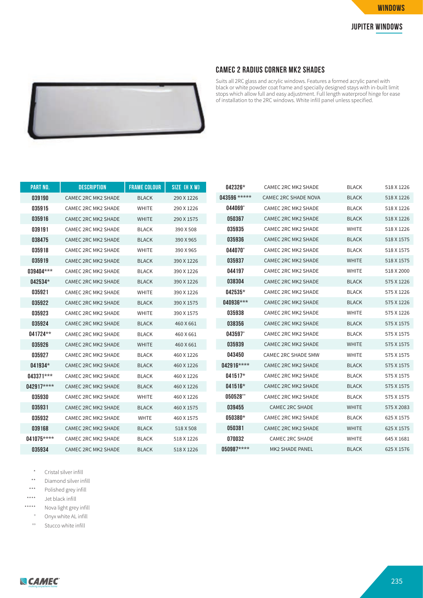



#### **CAMEC 2 RADIUS CORNER MK2 SHADES**

Suits all 2RC glass and acrylic windows. Features a formed acrylic panel with black or white powder coat frame and specially designed stays with in-built limit stops which allow full and easy adjustment. Full length waterproof hinge for ease of installation to the 2RC windows. White infill panel unless specified.

| <b>PART NO.</b> | <b>DESCRIPTION</b>         | <b>FRAME COLOUR</b> | SIZE (H X W) | 042326*          | CAMEC 2RC MK2 SHADE         | <b>BLACK</b> | 518 X 1226 |
|-----------------|----------------------------|---------------------|--------------|------------------|-----------------------------|--------------|------------|
| 039190          | CAMEC 2RC MK2 SHADE        | <b>BLACK</b>        | 290 X 1226   | 043596 *****     | <b>CAMEC 2RC SHADE NOVA</b> | <b>BLACK</b> | 518 X 1226 |
| 035915          | CAMEC 2RC MK2 SHADE        | <b>WHITE</b>        | 290 X 1226   | 044069°          | <b>CAMEC 2RC MK2 SHADE</b>  | <b>BLACK</b> | 518 X 1226 |
| 035916          | <b>CAMEC 2RC MK2 SHADE</b> | <b>WHITE</b>        | 290 X 1575   | 050367           | <b>CAMEC 2RC MK2 SHADE</b>  | <b>BLACK</b> | 518 X 1226 |
| 039191          | <b>CAMEC 2RC MK2 SHADE</b> | <b>BLACK</b>        | 390 X 508    | 035935           | <b>CAMEC 2RC MK2 SHADE</b>  | <b>WHITE</b> | 518 X 1226 |
| 038475          | CAMEC 2RC MK2 SHADE        | <b>BLACK</b>        | 390 X 965    | 035936           | <b>CAMEC 2RC MK2 SHADE</b>  | <b>BLACK</b> | 518 X 1575 |
| 035918          | CAMEC 2RC MK2 SHADE        | <b>WHITE</b>        | 390 X 965    | 044070°          | <b>CAMEC 2RC MK2 SHADE</b>  | <b>BLACK</b> | 518 X 1575 |
| 035919          | <b>CAMEC 2RC MK2 SHADE</b> | <b>BLACK</b>        | 390 X 1226   | 035937           | CAMEC 2RC MK2 SHADE         | <b>WHITE</b> | 518 X 1575 |
| 039404***       | <b>CAMEC 2RC MK2 SHADE</b> | <b>BLACK</b>        | 390 X 1226   | 044197           | <b>CAMEC 2RC MK2 SHADE</b>  | <b>WHITE</b> | 518 X 2000 |
| 042534*         | <b>CAMEC 2RC MK2 SHADE</b> | <b>BLACK</b>        | 390 X 1226   | 038304           | CAMEC 2RC MK2 SHADE         | <b>BLACK</b> | 575 X 1226 |
| 035921          | CAMEC 2RC MK2 SHADE        | <b>WHITE</b>        | 390 X 1226   | $042535*$        | CAMEC 2RC MK2 SHADE         | <b>BLACK</b> | 575 X 1226 |
| 035922          | CAMEC 2RC MK2 SHADE        | <b>BLACK</b>        | 390 X 1575   | 040936***        | <b>CAMEC 2RC MK2 SHADE</b>  | <b>BLACK</b> | 575 X 1226 |
| 035923          | CAMEC 2RC MK2 SHADE        | <b>WHITE</b>        | 390 X 1575   | 035938           | <b>CAMEC 2RC MK2 SHADE</b>  | <b>WHITE</b> | 575 X 1226 |
| 035924          | CAMEC 2RC MK2 SHADE        | <b>BLACK</b>        | 460 X 661    | 038356           | <b>CAMEC 2RC MK2 SHADE</b>  | <b>BLACK</b> | 575 X 1575 |
| $041724**$      | CAMEC 2RC MK2 SHADE        | <b>BLACK</b>        | 460 X 661    | 043597°          | CAMEC 2RC MK2 SHADE         | <b>BLACK</b> | 575 X 1575 |
| 035926          | <b>CAMEC 2RC MK2 SHADE</b> | <b>WHITE</b>        | 460 X 661    | 035939           | <b>CAMEC 2RC MK2 SHADE</b>  | <b>WHITE</b> | 575 X 1575 |
| 035927          | CAMEC 2RC MK2 SHADE        | <b>BLACK</b>        | 460 X 1226   | 043450           | CAMEC 2RC SHADE SMW         | <b>WHITE</b> | 575 X 1575 |
| 041934*         | CAMEC 2RC MK2 SHADE        | <b>BLACK</b>        | 460 X 1226   | 042916****       | <b>CAMEC 2RC MK2 SHADE</b>  | <b>BLACK</b> | 575 X 1575 |
| $043371***$     | CAMEC 2RC MK2 SHADE        | <b>BLACK</b>        | 460 X 1226   | $041517*$        | CAMEC 2RC MK2 SHADE         | <b>BLACK</b> | 575 X 1575 |
| 042917****      | CAMEC 2RC MK2 SHADE        | <b>BLACK</b>        | 460 X 1226   | $041516*$        | <b>CAMEC 2RC MK2 SHADE</b>  | <b>BLACK</b> | 575 X 1575 |
| 035930          | <b>CAMEC 2RC MK2 SHADE</b> | <b>WHITE</b>        | 460 X 1226   | $050528^{\circ}$ | <b>CAMEC 2RC MK2 SHADE</b>  | <b>BLACK</b> | 575 X 1575 |
| 035931          | <b>CAMEC 2RC MK2 SHADE</b> | <b>BLACK</b>        | 460 X 1575   | 039455           | CAMEC 2RC SHADE             | <b>WHITE</b> | 575 X 2083 |
| 035932          | <b>CAMEC 2RC MK2 SHADE</b> | <b>WHTE</b>         | 460 X 1575   | $050380*$        | <b>CAMEC 2RC MK2 SHADE</b>  | <b>BLACK</b> | 625 X 1575 |
| 039168          | <b>CAMEC 2RC MK2 SHADE</b> | <b>BLACK</b>        | 518 X 508    | 050381           | CAMEC 2RC MK2 SHADE         | <b>WHITE</b> | 625 X 1575 |
| $041075***$     | <b>CAMEC 2RC MK2 SHADE</b> | <b>BLACK</b>        | 518 X 1226   | 070032           | <b>CAMEC 2RC SHADE</b>      | <b>WHITE</b> | 645 X 1681 |
| 035934          | <b>CAMEC 2RC MK2 SHADE</b> | <b>BLACK</b>        | 518 X 1226   | 050987****       | <b>MK2 SHADE PANEL</b>      | <b>BLACK</b> | 625 X 1576 |

\* Cristal silver infill

\*\* Diamond silver infill

\*\*\* Polished grey infill

\*\*\*\* Jet black infill

\*\*\*\*\* Nova light grey infill

> $\circ$ Onyx white AL infill

 $^{\circ}$ Stucco white infill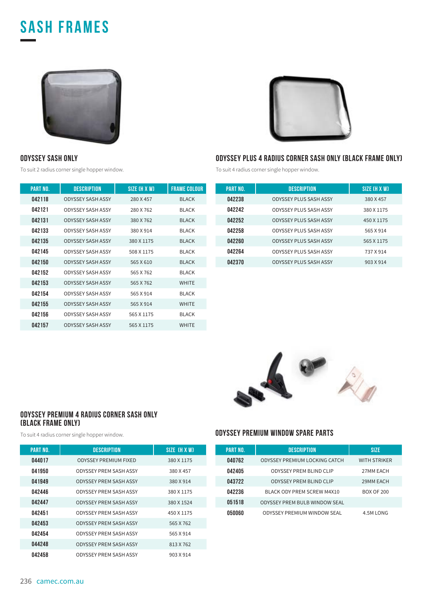## **sash FRAMES**





#### **ODYSSEY SASH ONLY**

To suit 2 radius corner single hopper window.

| <b>PART NO.</b> | <b>DESCRIPTION</b>       | SIZE (H X W) | <b>FRAME COLOUR</b> |
|-----------------|--------------------------|--------------|---------------------|
| 042118          | <b>ODYSSEY SASH ASSY</b> | 280 X 457    | <b>BLACK</b>        |
| 042121          | <b>ODYSSEY SASH ASSY</b> | 280 X 762    | <b>BI ACK</b>       |
| 042131          | ODYSSEY SASH ASSY        | 380 X 762    | <b>BIACK</b>        |
| 042133          | <b>ODYSSEY SASH ASSY</b> | 380 X 914    | <b>BI ACK</b>       |
| 042135          | ODYSSEY SASH ASSY        | 380 X 1175   | <b>BIACK</b>        |
| 042145          | <b>ODYSSEY SASH ASSY</b> | 508 X 1175   | <b>BI ACK</b>       |
| 042150          | <b>ODYSSEY SASH ASSY</b> | 565 X 610    | <b>BIACK</b>        |
| 042152          | ODYSSEY SASH ASSY        | 565 X 762    | <b>BI ACK</b>       |
| 042153          | <b>ODYSSEY SASH ASSY</b> | 565 X 762    | <b>WHITE</b>        |
| 042154          | ODYSSEY SASH ASSY        | 565 X 914    | <b>BI ACK</b>       |
| 042155          | ODYSSEY SASH ASSY        | 565 X 914    | <b>WHITE</b>        |
| 042156          | <b>ODYSSEY SASH ASSY</b> | 565 X 1175   | <b>BLACK</b>        |
| 042157          | ODYSSEY SASH ASSY        | 565 X 1175   | <b>WHITE</b>        |

## **ODYSSEY PLUS 4 RADIUS CORNER SASH ONLY (BLACK FRAME ONLY)**

To suit 4 radius corner single hopper window.

| <b>PART NO.</b> | <b>DESCRIPTION</b>            | SIZE (H X W) |
|-----------------|-------------------------------|--------------|
| 042238          | <b>ODYSSEY PLUS SASH ASSY</b> | 380 X 457    |
| 042242          | ODYSSEY PLUS SASH ASSY        | 380 X 1175   |
| 042252          | <b>ODYSSEY PLUS SASH ASSY</b> | 450 X 1175   |
| 042258          | ODYSSEY PLUS SASH ASSY        | 565 X 914    |
| 042260          | <b>ODYSSEY PLUS SASH ASSY</b> | 565 X 1175   |
| 042264          | ODYSSEY PLUS SASH ASSY        | 737 X 914    |
| 042370          | <b>ODYSSEY PLUS SASH ASSY</b> | 903 X 914    |



#### **ODYSSEY PREMIUM 4 RADIUS CORNER SASH ONLY (BLACK FRAME ONLY)**

| <b>PART NO.</b> | <b>DESCRIPTION</b>            | SIZE TH X WI |
|-----------------|-------------------------------|--------------|
| 044017          | <b>ODYSSEY PREMIUM FIXED</b>  | 380 X 1175   |
| 041950          | <b>ODYSSEY PREM SASH ASSY</b> | 380 X 457    |
| 041949          | <b>ODYSSEY PREM SASH ASSY</b> | 380 X 914    |
| 042446          | <b>ODYSSEY PREM SASH ASSY</b> | 380 X 1175   |
| 042447          | <b>ODYSSEY PREM SASH ASSY</b> | 380 X 1524   |
| 042451          | <b>ODYSSEY PREM SASH ASSY</b> | 450 X 1175   |
| 042453          | <b>ODYSSEY PREM SASH ASSY</b> | 565 X 762    |
| 042454          | <b>ODYSSEY PREM SASH ASSY</b> | 565 X 914    |
| 044248          | <b>ODYSSEY PREM SASH ASSY</b> | 813 X 762    |
| 042458          | ODYSSEY PREM SASH ASSY        | 903 X 914    |

#### To suit 4 radius corner single hopper window. **ODYSSEY PREMIUM WINDOW SPARE PARTS**

| <b>PART NO.</b> | <b>DESCRIPTION</b>                   | <b>SIZE</b>         |
|-----------------|--------------------------------------|---------------------|
| 040762          | ODYSSEY PREMIUM LOCKING CATCH        | <b>WITH STRIKER</b> |
| 042405          | <b>ODYSSEY PREM BLIND CLIP</b>       | 27MM EACH           |
| 043722          | <b>ODYSSEY PREM BLIND CLIP</b>       | 29MM EACH           |
| 042236          | BLACK ODY PREM SCREW M4X10           | <b>BOX OF 200</b>   |
| 051518          | <b>ODYSSEY PREM BULB WINDOW SEAL</b> |                     |
| 050060          | <b>ODYSSEY PREMIUM WINDOW SEAL</b>   | 4.5M LONG           |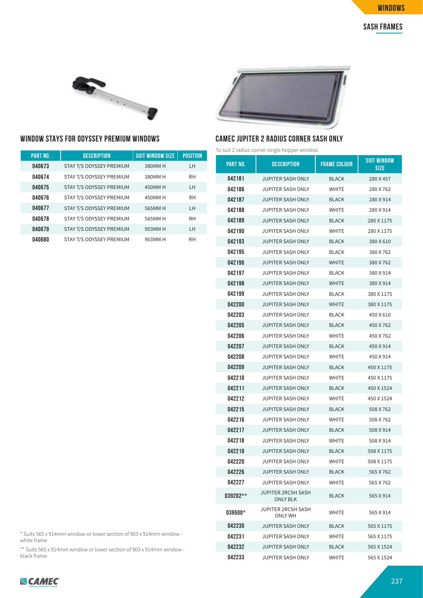

#### **WINDOW STAYS FOR ODYSSEY PREMIUM WINDOWS CAMEC JUPITER 2 RADIUS CORNER SASH ONLY**

| <b>PART NO.</b> | <b>DESCRIPTION</b>       | <b>SUIT WINDOW SIZE</b> | <b>POSITION</b> |
|-----------------|--------------------------|-------------------------|-----------------|
| 040673          | STAY T/S ODYSSEY PREMIUM | 380MM H                 | LH              |
| 040674          | STAY T/S ODYSSEY PREMIUM | 380MM H                 | <b>RH</b>       |
| 040675          | STAY T/S ODYSSEY PREMIUM | 450MM H                 | LH              |
| 040676          | STAY T/S ODYSSEY PREMIUM | 450MM H                 | <b>RH</b>       |
| 040677          | STAY T/S ODYSSEY PREMIUM | 565MM H                 | <b>LH</b>       |
| 040678          | STAY T/S ODYSSEY PREMIUM | 565MM H                 | <b>RH</b>       |
| 040679          | STAY T/S ODYSSEY PREMIUM | 903MM H                 | LH              |
| 040680          | STAY T/S ODYSSEY PREMIUM | 903MM H                 | <b>RH</b>       |



To suit 2 radius corner single hopper window.

| PART NO.  | DESCRIPTION                                  | <b>FRAME COLOUR</b> | <b>SUIT WINDOW</b><br><b>SIZE</b> |
|-----------|----------------------------------------------|---------------------|-----------------------------------|
| 042181    | JUPITER SASH ONLY                            | <b>BLACK</b>        | 280 X 457                         |
| 042186    | JUPITER SASH ONLY                            | WHITE               | 280 X 762                         |
| 042187    | <b>JUPITER SASH ONLY</b>                     | <b>BLACK</b>        | 280 X 914                         |
| 042188    | JUPITER SASH ONLY                            | <b>WHITE</b>        | 280 X 914                         |
| 042189    | JUPITER SASH ONLY                            | <b>BLACK</b>        | 280 X 1175                        |
| 042190    | JUPITER SASH ONLY                            | WHITE               | 280 X 1175                        |
| 042193    | <b>JUPITER SASH ONLY</b>                     | <b>BLACK</b>        | 380 X 610                         |
| 042195    | JUPITER SASH ONLY                            | <b>BLACK</b>        | 380 X 762                         |
| 042196    | JUPITER SASH ONLY                            | WHITE               | 380 X 762                         |
| 042197    | JUPITER SASH ONLY                            | <b>BLACK</b>        | 380 X 914                         |
| 042198    | JUPITER SASH ONLY                            | <b>WHITE</b>        | 380 X 914                         |
| 042199    | JUPITER SASH ONLY                            | <b>BLACK</b>        | 380 X 1175                        |
| 042200    | JUPITER SASH ONLY                            | <b>WHITE</b>        | 380 X 1175                        |
| 042203    | JUPITER SASH ONLY                            | <b>BLACK</b>        | 450 X 610                         |
| 042205    | JUPITER SASH ONLY                            | <b>BLACK</b>        | 450 X 762                         |
| 042206    | JUPITER SASH ONLY                            | <b>WHITE</b>        | 450 X 762                         |
| 042207    | JUPITER SASH ONLY                            | <b>BLACK</b>        | 450 X 914                         |
| 042208    | JUPITER SASH ONLY                            | <b>WHITE</b>        | 450 X 914                         |
| 042209    | JUPITER SASH ONLY                            | <b>BLACK</b>        | 450 X 1175                        |
| 042210    | JUPITER SASH ONLY                            | <b>WHITE</b>        | 450 X 1175                        |
| 042211    | JUPITER SASH ONLY                            | <b>BLACK</b>        | 450 X 1524                        |
| 042212    | JUPITER SASH ONLY                            | WHITE               | 450 X 1524                        |
| 042215    | JUPITER SASH ONLY                            | <b>BLACK</b>        | 508 X 762                         |
| 042216    | JUPITER SASH ONLY                            | WHITE               | 508 X 762                         |
| 042217    | JUPITER SASH ONLY                            | <b>BLACK</b>        | 508 X 914                         |
| 042218    | JUPITER SASH ONLY                            | WHITE               | 508 X 914                         |
| 042219    | JUPITER SASH ONLY                            | <b>BLACK</b>        | 508 X 1175                        |
| 042220    | <b>JUPITER SASH ONLY</b>                     | <b>WHITE</b>        | 508 X 1175                        |
| 042226    | JUPITER SASH ONLY                            | <b>BLACK</b>        | 565 X 762                         |
| 042227    | <b>JUPITER SASH ONLY</b>                     | <b>WHITE</b>        | 565 X 762                         |
| 039202**  | <b>JUPITER 2RCSH SASH</b><br><b>ONLY BLK</b> | <b>BLACK</b>        | 565 X 914                         |
| $039500*$ | JUPITER 2RCSH SASH<br>ONLY WH                | WHITE               | 565 X 914                         |
| 042230    | <b>JUPITER SASH ONLY</b>                     | <b>BLACK</b>        | 565 X 1175                        |
| 042231    | <b>JUPITER SASH ONLY</b>                     | WHITE               | 565 X 1175                        |
| 042232    | <b>JUPITER SASH ONLY</b>                     | <b>BLACK</b>        | 565 X 1524                        |
| 042233    | JUPITER SASH ONLY                            | WHITE               | 565 X 1524                        |

\* Suits 565 x 914mm window or lower section of 903 x 914mm window white frame

\*\* Suits 565 x 914mm window or lower section of 903 x 914mm window black frame

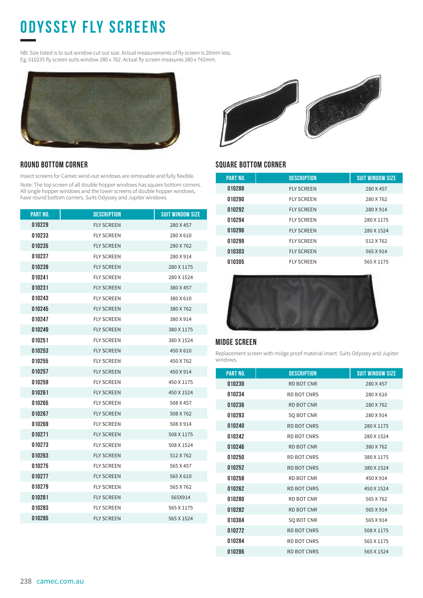# **ODYSSEY FLY SCREENs**

NB: Size listed is to suit window cut out size. Actual measurements of fly screen is 20mm less. Eg. 010235 fly screen suits window 280 x 762. Actual fly screen measures 260 x 742mm.



#### **ROUND BOTTOM CORNER**

Insect screens for Camec wind-out windows are removable and fully flexible.

Note: The top screen of all double hopper windows has square bottom corners. All single hopper windows and the lower screens of double hopper windows, have round bottom corners. Suits Odyssey and Jupiter windows.

| <b>PART NO.</b> | <b>DESCRIPTION</b> | <b>SUIT WINDOW SIZE</b> |
|-----------------|--------------------|-------------------------|
| 010229          | <b>FLY SCREEN</b>  | 280 X 457               |
| 010233          | <b>FLY SCREEN</b>  | 280 X 610               |
| 010235          | <b>FLY SCREEN</b>  | 280 X 762               |
| 010237          | <b>FLY SCREEN</b>  | 280 X 914               |
| 010239          | <b>FLY SCREEN</b>  | 280 X 1175              |
| 010241          | <b>FLY SCREEN</b>  | 280 X 1524              |
| 010231          | <b>FLY SCREEN</b>  | 380 X 457               |
| 010243          | <b>FLY SCREEN</b>  | 380 X 610               |
| 010245          | <b>FLY SCREEN</b>  | 380 X 762               |
| 010247          | <b>FLY SCREEN</b>  | 380 X 914               |
| 010249          | <b>FLY SCREEN</b>  | 380 X 1175              |
| 010251          | <b>FLY SCREEN</b>  | 380 X 1524              |
| 010253          | <b>FLY SCREEN</b>  | 450 X 610               |
| 010255          | <b>FLY SCREEN</b>  | 450 X 762               |
| 010257          | <b>FLY SCREEN</b>  | 450 X 914               |
| 010259          | <b>FLY SCREEN</b>  | 450 X 1175              |
| 010261          | <b>FLY SCREEN</b>  | 450 X 1524              |
| 010265          | <b>FLY SCREEN</b>  | 508 X 457               |
| 010267          | <b>FLY SCREEN</b>  | 508 X 762               |
| 010269          | <b>FLY SCREEN</b>  | 508 X 914               |
| 010271          | <b>FLY SCREEN</b>  | 508 X 1175              |
| 010273          | <b>FLY SCREEN</b>  | 508 X 1524              |
| 010263          | <b>FLY SCREEN</b>  | 512 X 762               |
| 010275          | <b>FLY SCREEN</b>  | 565 X 457               |
| 010277          | <b>FLY SCREEN</b>  | 565 X 610               |
| 010279          | <b>FLY SCREEN</b>  | 565 X 762               |
| 010281          | <b>FLY SCREEN</b>  | 565X914                 |
| 010283          | <b>FLY SCREEN</b>  | 565 X 1175              |
| 010285          | <b>FLY SCREEN</b>  | 565 X 1524              |
|                 |                    |                         |



#### **SQUARE BOTTOM CORNER**

| <b>PART NO.</b> | <b>DESCRIPTION</b> | <b>SUIT WINDOW SIZE</b> |
|-----------------|--------------------|-------------------------|
| 010288          | <b>FLY SCREEN</b>  | 280 X 457               |
| 010290          | <b>FLY SCREEN</b>  | 280 X 762               |
| 010292          | <b>FLY SCREEN</b>  | 280 X 914               |
| 010294          | <b>FLY SCREEN</b>  | 280 X 1175              |
| 010296          | <b>FLY SCREEN</b>  | 280 X 1524              |
| 010299          | <b>FLY SCREEN</b>  | 512 X 762               |
| 010303          | <b>FLY SCREEN</b>  | 565 X 914               |
| 010305          | <b>FLY SCREEN</b>  | 565 X 1175              |



#### **MIDGE SCREEN**

Replacement screen with midge proof material insert. Suits Odyssey and Jupiter windows.

| <b>PART NO.</b> | <b>DESCRIPTION</b> | <b>SUIT WINDOW SIZE</b> |
|-----------------|--------------------|-------------------------|
| 010230          | <b>RD BOT CNR</b>  | 280 X 457               |
| 010234          | <b>RD BOT CNRS</b> | 280 X 610               |
| 010236          | <b>RD BOT CNR</b>  | 280 X 762               |
| 010293          | <b>SO BOT CNR</b>  | 280 X 914               |
| 010240          | <b>RD BOT CNRS</b> | 280 X 1175              |
| 010242          | <b>RD BOT CNRS</b> | 280 X 1524              |
| 010246          | <b>RD BOT CNR</b>  | 380 X 762               |
| 010250          | <b>RD BOT CNRS</b> | 380 X 1175              |
| 010252          | <b>RD BOT CNRS</b> | 380 X 1524              |
| 010258          | RD BOT CNR         | 450 X 914               |
| 010262          | <b>RD BOT CNRS</b> | 450 X 1524              |
| 010280          | RD BOT CNR         | 565 X 762               |
| 010282          | <b>RD BOT CNR</b>  | 565 X 914               |
| 010304          | SQ BOT CNR         | 565 X 914               |
| 010272          | <b>RD BOT CNRS</b> | 508 X 1175              |
| 010284          | <b>RD BOT CNRS</b> | 565 X 1175              |
| 010286          | <b>RD BOT CNRS</b> | 565 X 1524              |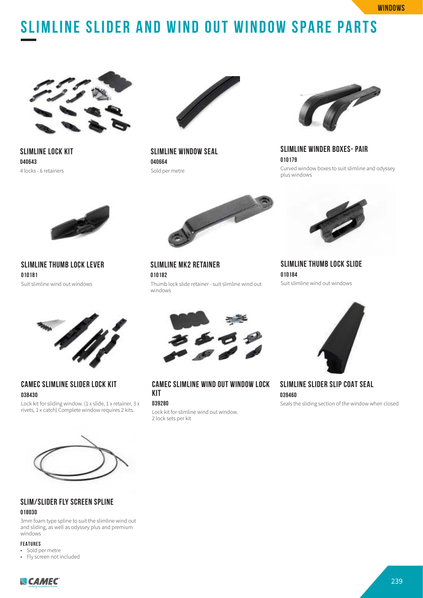# **SLIMLINE SLIDER AND wind out window SPARE PARTS**



**SLIMLINE LOCK KIT 040643**  4 locks - 6 retainers



**SLIMLINE WINDOW SEAL 040664**  Sold per metre

**SLIMLINE MK2 RETAINER**

**010182**

windows



**SLIMLINE WINDER BOXES- PAIR 010179** Curved window boxes to suit slimline and odyssey plus windows



**SLIMLINE THUMB LOCK LEVER 010181** Suit slimline wind out windows



**CAMEC SLIMLINE SLIDER LOCK KIT 038430**

Lock kit for sliding window. (1 x slide, 1 x retainer, 3 x rivets, 1 x catch) Complete window requires 2 kits.



Thumb lock slide retainer - suit slimline wind out

**CAMEC SLIMLINE WIND OUT WINDOW LOCK KIT**

#### **039280**

Lock kit for slimline wind out window. 2 lock sets per kit



**SLIMLINE THUMB LOCK SLIDE 010184** Suit slimline wind out windows



**SLIMLINE SLIDER SLIP COAT SEAL 039460**

Seals the sliding section of the window when closed



#### **SLIM/SLIDER FLY SCREEN SPLINE**

#### **018030**

3mm foam type spline to suit the slimline wind out and sliding, as well as odyssey plus and premium windows

#### **FEATURES**

- Sold per metre
- Fly screen not included

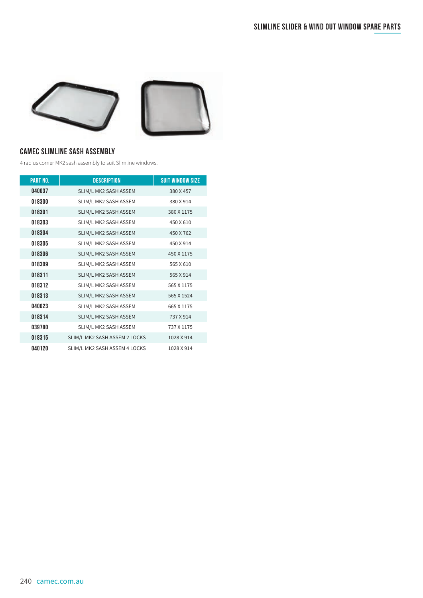

#### **CAMEC SLIMLINE SASH ASSEMBLY**

4 radius corner MK2 sash assembly to suit Slimline windows.

| <b>PART NO.</b> | <b>DESCRIPTION</b>            | <b>SUIT WINDOW SIZE</b> |
|-----------------|-------------------------------|-------------------------|
| 040037          | SLIM/L MK2 SASH ASSEM         | 380 X 457               |
| 018300          | SLIM/L MK2 SASH ASSEM         | 380 X 914               |
| 018301          | SLIM/L MK2 SASH ASSEM         | 380 X 1175              |
| 018303          | SLIM/L MK2 SASH ASSEM         | 450 X 610               |
| 018304          | SLIM/L MK2 SASH ASSEM         | 450 X 762               |
| 018305          | SLIM/L MK2 SASH ASSEM         | 450 X 914               |
| 018306          | SLIM/L MK2 SASH ASSEM         | 450 X 1175              |
| 018309          | SLIM/L MK2 SASH ASSEM         | 565 X 610               |
| 018311          | SLIM/L MK2 SASH ASSEM         | 565 X 914               |
| 018312          | SLIM/L MK2 SASH ASSEM         | 565 X 1175              |
| 018313          | SLIM/L MK2 SASH ASSEM         | 565 X 1524              |
| 040023          | SLIM/L MK2 SASH ASSEM         | 665 X 1175              |
| 018314          | SLIM/L MK2 SASH ASSEM         | 737 X 914               |
| 039780          | SLIM/L MK2 SASH ASSEM         | 737 X 1175              |
| 018315          | SLIM/L MK2 SASH ASSEM 2 LOCKS | 1028 X 914              |
| 040120          | SLIM/L MK2 SASH ASSEM 4 LOCKS | 1028 X 914              |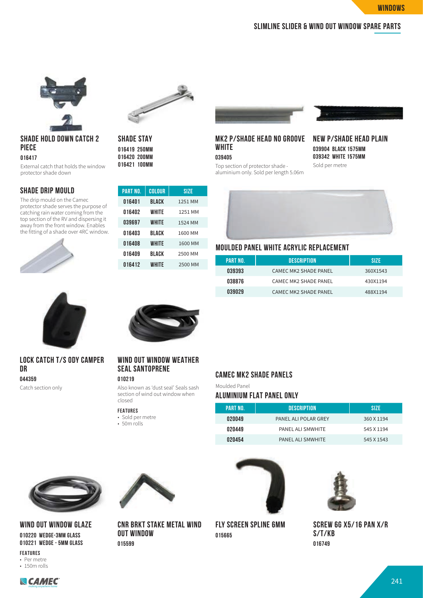#### **slimline slider & wind out window spare parts**



### **SHADE HOLD DOWN CATCH 2 PIECE**

**016417**

External catch that holds the window protector shade down

#### **SHADE DRIP MOULD**

The drip mould on the Camec protector shade serves the purpose of catching rain water coming from the top section of the RV and dispersing it away from the front window. Enables the fitting of a shade over 4RC window.





**SHADE STAY 016419 250MM 016420 200MM 016421 100MM**

| <b>PART NO.</b> | COLOUR       | SIZE    |
|-----------------|--------------|---------|
| 016401          | <b>BLACK</b> | 1251 MM |
| 016402          | WHITE        | 1251 MM |
| 039697          | WHITE        | 1524 MM |
| 016403          | BLACK        | 1600 MM |
| 016408          | WHITE        | 1600 MM |
| 016409          | BLACK        | 2500 MM |
| 016412          | WHITE        | 2500 MM |
|                 |              |         |

## **MK2 P/SHADE HEAD NO GROOVE WHITE**

**039405**

Top section of protector shade -



#### **NEW P/SHADE HEAD PLAIN 039904 BLACK 1575MM 039342 WHITE 1575MM** Sold per metre

aluminium only. Sold per length 5.06m



#### **MOULDED PANEL WHITE ACRYLIC REPLACEMENT**

| PART NO. | DESCRIPTION                  | <b>SIZE</b> |
|----------|------------------------------|-------------|
| 039393   | <b>CAMEC MK2 SHADE PANEL</b> | 360X1543    |
| 038876   | <b>CAMEC MK2 SHADE PANEL</b> | 430X1194    |
| 039029   | <b>CAMEC MK2 SHADE PANEL</b> | 488X1194    |

**PART NO. DESCRIPTION SIZE**  PANEL ALI POLAR GREY 360 X 1194 PANEL ALI SMWHITE 545 X 1194 PANEL ALI SMWHITE 545 X 1543



#### **LOCK CATCH T/S ODY CAMPER DR 044359**

Catch section only



#### **WIND OUT WINDOW WEATHER SEAL SANTOPRENE**

#### **010219**

Also known as 'dust seal' Seals sash section of wind out window when closed

**CNR BRKT STAKE METAL WIND** 

• 50m rolls



## **CAMEC MK2 SHADE PANELS**

#### **FEATURES**

• Sold per metre

**OUT WINDOW 015599**

**ALUMINIUM FLAT PANEL ONLY**

Moulded Panel

**FLY SCREEN SPLINE 6MM 015665**



**SCREW 6G X5/16 PAN X/R S/T/KB 016749**



**WIND OUT WINDOW GLAZE 010220 WEDGE-3MM GLASS 010221 WEDGE - 5MM GLASS**

**FEATURES** • Per metre • 150m rolls

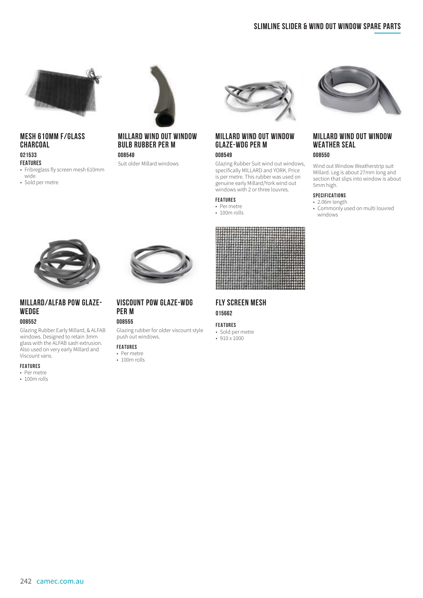



#### **MESH 610MM F/GLASS CHARCOAL**

#### **021533 FEATURES**

- Fribreglass fly screen mesh 610mm wide
- Sold per metre

#### **MILLARD WIND OUT WINDOW BULB RUBBER PER M**

#### **008548**

Suit older Millard windows



#### **MILLARD WIND OUT WINDOW GLAZE-WDG PER M**

#### **008549**

Glazing Rubber Suit wind out windows, specifically MILLARD and YORK. Price is per metre. This rubber was used on genuine early Millard/York wind out windows with 2 or three louvres.

#### **FEATURES**

- Per metre
- 100m rolls



#### **FLY SCREEN MESH 015662**

#### **FEATURES**

- Sold per metre
- 910 x 1000



#### **MILLARD WIND OUT WINDOW WEATHER SEAL**

#### **008550**

Wind out Window Weatherstrip suit Millard. Leg is about 27mm long and section that slips into window is about 5mm high.

#### **SPECIFICATIONS**

- 2.06m length
- Commonly used on multi louvred windows



#### **MILLARD/ALFAB POW GLAZE-WEDGE 008552**

Glazing Rubber Early Millard, & ALFAB windows. Designed to retain 3mm glass with the ALFAB sash extrusion. Also used on very early Millard and Viscount vans.

#### **FEATURES**

- Per metre
- 100m rolls



#### **VISCOUNT POW GLAZE-WDG PER M 008555**

Glazing rubber for older viscount style push out windows.

#### **FEATURES**

- Per metre
- 100m rolls